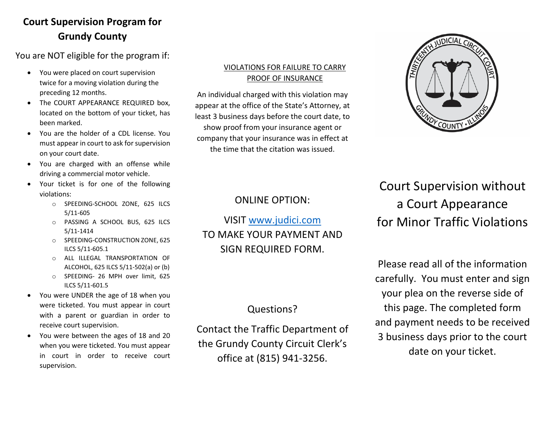# **Court Supervision Program for Grundy County**

You are NOT eligible for the program if:

- You were placed on court supervision twice for a moving violation during the preceding 12 months.
- The COURT APPEARANCE REQUIRED box. located on the bottom of your ticket, has been marked.
- You are the holder of a CDL license. You must appear in court to ask for supervision on your court date.
- You are charged with an offense while driving a commercial motor vehicle.
- Your ticket is for one of the following violations:
	- o SPEEDING-SCHOOL ZONE, 625 ILCS 5/11-605
	- o PASSING A SCHOOL BUS, 625 ILCS 5/11-1414
	- o SPEEDING-CONSTRUCTION ZONE, 625 ILCS 5/11-605.1
	- o ALL ILLEGAL TRANSPORTATION OF ALCOHOL, 625 ILCS 5/11-502(a) or (b)
	- o SPEEDING- 26 MPH over limit, 625 ILCS 5/11-601.5
- You were UNDER the age of 18 when you were ticketed. You must appear in court with a parent or guardian in order to receive court supervision.
- You were between the ages of 18 and 20 when you were ticketed. You must appear in court in order to receive court supervision.

### VIOLATIONS FOR FAILURE TO CARRY PROOF OF INSURANCE

An individual charged with this violation may appear at the office of the State's Attorney, at least 3 business days before the court date, to show proof from your insurance agent or company that your insurance was in effect at the time that the citation was issued.



### ONLINE OPTION:

VISIT [www.judici.com](http://www.judici.com/) TO MAKE YOUR PAYMENT AND SIGN REQUIRED FORM.

### Questions?

Contact the Traffic Department of the Grundy County Circuit Clerk's office at (815) 941-3256.

# Court Supervision without a Court Appearance for Minor Traffic Violations

Please read all of the information carefully. You must enter and sign your plea on the reverse side of this page. The completed form and payment needs to be received 3 business days prior to the court date on your ticket.